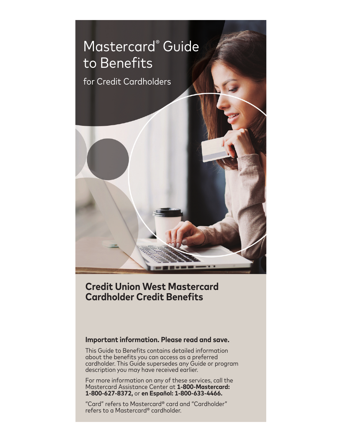

# **Credit Union West Mastercard Cardholder Credit Benefits**

# **Important information. Please read and save.**

This Guide to Benefits contains detailed information about the benefits you can access as a preferred cardholder. This Guide supersedes any Guide or program description you may have received earlier.

For more information on any of these services, call the Mastercard Assistance Center at **1-800-Mastercard: 1-800-627-8372,** or **en Español: 1-800-633-4466.**

"Card" refers to Mastercard® card and "Cardholder" refers to a Mastercard® cardholder.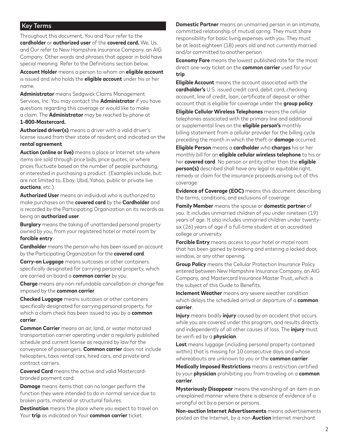#### Key Terms

Throughout this document, You and Your refer to the **cardholder** or **authorized user** of the **covered card.** We, Us, and Our refer to New Hampshire Insurance Company, an AIG Company. Other words and phrases that appear in bold have special meaning. Refer to the Definitions section below.

**Account Holder** means a person to whom an **eligible account** is issued and who holds the **eligible account** under his or her name.

**Administrator** means Sedgwick Claims Management Services, Inc. You may contact the **Administrator** if you have questions regarding this coverage or would like to make a claim. The **Administrator** may be reached by phone at **1-800-Mastercard.**

**Authorized driver(s)** means a driver with a valid driver's license issued from their state of resident and indicated on the **rental agreement**.

**Auction (online or live)** means a place or Internet site where items are sold through price bids, price quotes; or where prices fluctuate based on the number of people purchasing, or interested in purchasing a product. (Examples include, but are not limited to, Ebay, Ubid, Yahoo, public or private live **auctions**, etc.).

**Authorized User** means an individual who is authorized to make purchases on the **covered card** by the **Cardholder** and is recorded by the Participating Organization on its records as being an **authorized user**.

**Burglary** means the taking of unattended personal property owned by you, from your registered hotel or motel room by **forcible entry**.

**Cardholder** means the person who has been issued an account by the Participating Organization for the **covered card**.

**Carry-on Luggage** means suitcases or other containers specifically designated for carrying personal property, which are carried on board a **common carrier** by you.

**Charge** means any non-refundable cancellation or change fee imposed by the **common carrier**.

**Checked Luggage** means suitcases or other containers specifically designated for carrying personal property, for which a claim check has been issued to you by a **common carrier**.

**Common Carrier** means an air, land, or water motorized transportation carrier operating under a regularly published schedule and current license as required by law for the conveyance of passengers. **Common carrier** does not include helicopters, taxis rental cars, hired cars, and private and contract carriers.

**Covered Card** means the active and valid Mastercardbranded payment card.

**Damage** means items that can no longer perform the function they were intended to do in normal service due to broken parts, material or structural failures.

**Destination** means the place where you expect to travel on Your **trip** as indicated on Your **common carrier** ticket.

**Domestic Partner** means an unmarried person in an intimate, committed relationship of mutual caring. They must share responsibility for basic living expenses with you. They must be at least eighteen (18) years old and not currently married and/or committed to another person.

**Economy Fare** means the lowest published rate for the most direct one-way ticket on the **common carrier** used for your **trip**.

**Eligible Account** means the account associated with the **cardholder's** U.S. issued credit card, debit card, checking account, line of credit, loan, certificate of deposit or other account that is eligible for coverage under the **group policy**.

**Eligible Cellular Wireless Telephones** means the cellular telephones associated with the primary line and additional or supplemental lines on the **eligible person's** monthly billing statement from a cellular provider for the billing cycle preceding the month in which the theft or **damage** occurred.

**Eligible Person** means a **cardholder** who **charges** his or her monthly bill for an **eligible cellular wireless telephone** to his or her **covered card**. No person or entity other than the **eligible person(s)** described shall have any legal or equitable right, remedy or claim for the insurance proceeds arising out of this coverage.

**Evidence of Coverage (EOC)** means this document describing the terms, conditions, and exclusions of coverage.

**Family Member** means the spouse or **domestic partner** of you. It includes unmarried children of you under nineteen (19) years of age. It also includes unmarried children under twentysix (26) years of age if a full-time student at an accredited college or university.

**Forcible Entry** means access to your hotel or motel room that has been gained by breaking and entering a locked door, window, or any other opening.

**Group Policy** means the Cellular Protection Insurance Policy entered between New Hampshire Insurance Company, an AIG Company, and Mastercard Insurance Master Trust, which is the subject of this Guide to Benefits.

**Inclement Weather** means any severe weather condition which delays the scheduled arrival or departure of a **common carrier**.

**Injury** means bodily **injury** caused by an accident that occurs while you are covered under this program, and results directly and independently of all other causes of loss. The **injury** must be verifi ed by a **physician**.

**Lost** means luggage (including personal property contained within) that is missing for 10 consecutive days and whose whereabouts are unknown to you or the **common carrier**.

**Medically Imposed Restrictions** means a restriction certified by your **physician** prohibiting you from traveling on a **common carrier**.

**Mysteriously Disappear** means the vanishing of an item in an unexplained manner where there is absence of evidence of a wrongful act by a person or persons.

**Non-auction Internet Advertisements** means advertisements posted on the Internet, by a non-**Auction** Internet merchant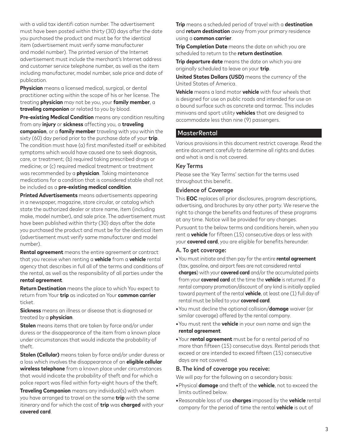with a valid tax identifi cation number. The advertisement must have been posted within thirty (30) days after the date you purchased the product and must be for the identical item (advertisement must verify same manufacturer and model number). The printed version of the Internet advertisement must include the merchant's Internet address and customer service telephone number, as well as the item including manufacturer, model number, sale price and date of publication.

**Physician** means a licensed medical, surgical, or dental practitioner acting within the scope of his or her license. The treating **physician** may not be you, your **family member**, a **traveling companion** or related to you by blood.

**Pre-existing Medical Condition** means any condition resulting from any **injury** or **sickness** affecting you, a **traveling companion**, or a **family member** traveling with you within the sixty (60) day period prior to the purchase date of your **trip**. The condition must have (a) first manifested itself or exhibited symptoms which would have caused one to seek diagnosis, care, or treatment; (b) required taking prescribed drugs or medicine; or (c) required medical treatment or treatment was recommended by a **physician**. Taking maintenance medications for a condition that is considered stable shall not be included as a **pre-existing medical condition**.

**Printed Advertisements** means advertisements appearing in a newspaper, magazine, store circular, or catalog which state the authorized dealer or store name, item (including make, model number), and sale price. The advertisement must have been published within thirty (30) days after the date you purchased the product and must be for the identical item (advertisement must verify same manufacturer and model number).

**Rental agreement** means the entire agreement or contract that you receive when renting a **vehicle** from a **vehicle** rental agency that describes in full all of the terms and conditions of the rental, as well as the responsibility of all parties under the **rental agreement**.

**Return Destination** means the place to which You expect to return from Your **trip** as indicated on Your **common carrier** ticket.

**Sickness** means an illness or disease that is diagnosed or treated by a **physician**.

**Stolen** means items that are taken by force and/or under duress or the disappearance of the item from a known place under circumstances that would indicate the probability of theft.

**Stolen (Cellular)** means taken by force and/or under duress or a loss which involves the disappearance of an **eligible cellular wireless telephone** from a known place under circumstances that would indicate the probability of theft and for which a police report was filed within forty-eight hours of the theft.

**Traveling Companion** means any individual(s) with whom you have arranged to travel on the same **trip** with the same itinerary and for which the cost of **trip** was **charged** with your **covered card**.

**Trip** means a scheduled period of travel with a **destination** and **return destination** away from your primary residence using a **common carrier**.

**Trip Completion Date** means the date on which you are scheduled to return to the **return destination**.

**Trip departure date** means the date on which you are originally scheduled to leave on your **trip**.

**United States Dollars (USD)** means the currency of the United States of America.

**Vehicle** means a land motor **vehicle** with four wheels that is designed for use on public roads and intended for use on a bound surface such as concrete and tarmac. This includes minivans and sport utility **vehicles** that are designed to accommodate less than nine (9) passengers.

#### **MasterRental**

Various provisions in this document restrict coverage. Read the entire document carefully to determine all rights and duties and what is and is not covered.

#### Key Terms

Please see the 'Key Terms' section for the terms used throughout this benefit.

#### Evidence of Coverage

This **EOC** replaces all prior disclosures, program descriptions, advertising, and brochures by any other party. We reserve the right to change the benefits and features of these programs at any time. Notice will be provided for any changes. Pursuant to the below terms and conditions herein, when you rent a **vehicle** for fifteen (15) consecutive days or less with your **covered card**, you are eligible for benefits hereunder.

#### A. To get coverage:

- **•**You must initiate and then pay for the entire **rental agreement** (tax, gasoline, and airport fees are not considered rental **charges**) with your **covered card** and/or the accumulated points from your **covered card** at the time the **vehicle** is returned. If a rental company promotion/discount of any kind is initially applied toward payment of the rental **vehicle**, at least one (1) full day of rental must be billed to your **covered card**.
- **•**You must decline the optional collision/**damage** waiver (or similar coverage) offered by the rental company.
- **•**You must rent the **vehicle** in your own name and sign the **rental agreement**.
- **•**Your **rental agreement** must be for a rental period of no more than fifteen (15) consecutive days. Rental periods that exceed or are intended to exceed fifteen (15) consecutive days are not covered.

#### B. The kind of coverage you receive:

We will pay for the following on a secondary basis:

- **•**Physical **damage** and theft of the **vehicle**, not to exceed the limits outlined below.
- **•**Reasonable loss of use **charges** imposed by the **vehicle** rental company for the period of time the rental **vehicle** is out of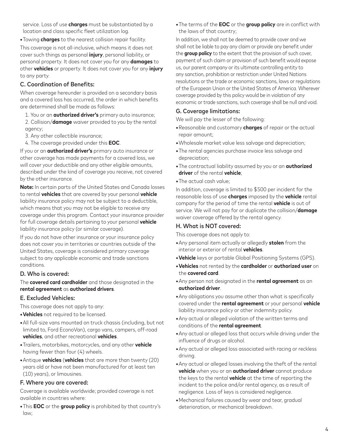service. Loss of use **charges** must be substantiated by a location and class specific fleet utilization log.

**•**Towing **charges** to the nearest collision repair facility.

This coverage is not all-inclusive, which means it does not cover such things as personal **injury**, personal liability, or personal property. It does not cover you for any **damages** to other **vehicles** or property. It does not cover you for any **injury** to any party.

#### C. Coordination of Benefits:

When coverage hereunder is provided on a secondary basis and a covered loss has occurred, the order in which benefits are determined shall be made as follows:

- 1. You or an **authorized driver's** primary auto insurance;
- 2. Collision/**damage** waiver provided to you by the rental agency;
- 3. Any other collectible insurance;
- 4. The coverage provided under this **EOC**.

If you or an **authorized driver's** primary auto insurance or other coverage has made payments for a covered loss, we will cover your deductible and any other eligible amounts, described under the kind of coverage you receive, not covered by the other insurance.

**Note:** In certain parts of the United States and Canada losses to rental **vehicles** that are covered by your personal **vehicle** liability insurance policy may not be subject to a deductible, which means that you may not be eligible to receive any coverage under this program. Contact your insurance provider for full coverage details pertaining to your personal **vehicle** liability insurance policy (or similar coverage).

If you do not have other insurance or your insurance policy does not cover you in territories or countries outside of the United States, coverage is considered primary coverage subject to any applicable economic and trade sanctions conditions.

#### D. Who is covered:

The **covered card cardholder** and those designated in the **rental agreement** as **authorized drivers**.

#### E. Excluded Vehicles:

This coverage does not apply to any:

- **•Vehicles** not required to be licensed.
- **•**All full-size vans mounted on truck chassis (including, but not limited to, Ford EconoVan), cargo vans, campers, off-road **vehicles**, and other recreational **vehicles**.
- **•**Trailers, motorbikes, motorcycles, and any other **vehicle** having fewer than four (4) wheels.
- **•**Antique **vehicles** (**vehicles** that are more than twenty (20) years old or have not been manufactured for at least ten (10) years), or limousines.

#### F. Where you are covered:

Coverage is available worldwide; provided coverage is not available in countries where:

**•**This **EOC** or the **group policy** is prohibited by that country's law;

**•**The terms of the **EOC** or the **group policy** are in conflict with the laws of that country;

In addition, we shall not be deemed to provide cover and we shall not be liable to pay any claim or provide any benefit under the **group policy** to the extent that the provision of such cover, payment of such claim or provision of such benefit would expose us, our parent company or its ultimate controlling entity to any sanction, prohibition or restriction under United Nations resolutions or the trade or economic sanctions, laws or regulations of the European Union or the United States of America. Wherever coverage provided by this policy would be in violation of any economic or trade sanctions, such coverage shall be null and void.

#### G. Coverage limitations:

We will pay the lesser of the following:

- **•**Reasonable and customary **charges** of repair or the actual repair amount;
- **•**Wholesale market value less salvage and depreciation;
- **•**The rental agencies purchase invoice less salvage and depreciation;
- **•**The contractual liability assumed by you or an **authorized driver** of the rental **vehicle**;
- **•**The actual cash value;

In addition, coverage is limited to \$500 per incident for the reasonable loss of use **charges** imposed by the **vehicle** rental company for the period of time the rental **vehicle** is out of service. We will not pay for or duplicate the collision/**damage** waiver coverage offered by the rental agency.

#### H. What is NOT covered:

This coverage does not apply to:

- **•**Any personal item actually or allegedly **stolen** from the interior or exterior of rental **vehicles**.
- **•Vehicle** keys or portable Global Positioning Systems (GPS).
- **•Vehicles** not rented by the **cardholder** or **authorized user** on the **covered card**.
- **•**Any person not designated in the **rental agreement** as an **authorized driver**.
- **•**Any obligations you assume other than what is specifically covered under the **rental agreement** or your personal **vehicle** liability insurance policy or other indemnity policy.
- **•**Any actual or alleged violation of the written terms and conditions of the **rental agreement**.
- **•**Any actual or alleged loss that occurs while driving under the influence of drugs or alcohol.
- **•**Any actual or alleged loss associated with racing or reckless driving.
- **•**Any actual or alleged losses involving the theft of the rental **vehicle** when you or an **authorized driver** cannot produce the keys to the rental **vehicle** at the time of reporting the incident to the police and/or rental agency, as a result of negligence. Loss of keys is considered negligence.
- **•**Mechanical failures caused by wear and tear, gradual deterioration, or mechanical breakdown.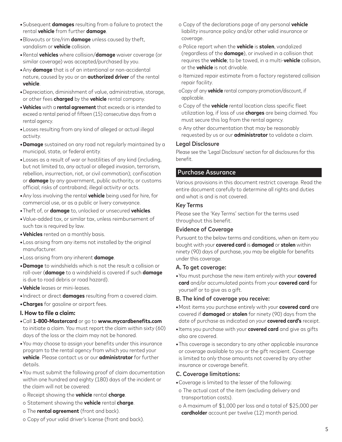- **•**Subsequent **damages** resulting from a failure to protect the rental **vehicle** from further **damage**.
- **•**Blowouts or tire/rim **damage** unless caused by theft, vandalism or **vehicle** collision.
- **•**Rental **vehicles** where collision/**damage** waiver coverage (or similar coverage) was accepted/purchased by you.
- **•**Any **damage** that is of an intentional or non-accidental nature, caused by you or an **authorized driver** of the rental **vehicle**.
- **•**Depreciation, diminishment of value, administrative, storage, or other fees **charged** by the **vehicle** rental company.
- **•Vehicles** with a **rental agreement** that exceeds or is intended to exceed a rental period of fifteen (15) consecutive days from a rental agency.
- **•**Losses resulting from any kind of alleged or actual illegal activity.
- **•Damage** sustained on any road not regularly maintained by a municipal, state, or federal entity.
- **•**Losses as a result of war or hostilities of any kind (including, but not limited to, any actual or alleged invasion, terrorism, rebellion, insurrection, riot, or civil commotion); confiscation or **damage** by any government, public authority, or customs official; risks of contraband; illegal activity or acts.
- **•**Any loss involving the rental **vehicle** being used for hire, for commercial use, or as a public or livery conveyance.
- **•**Theft of, or **damage** to, unlocked or unsecured **vehicles**.
- **•**Value-added tax, or similar tax, unless reimbursement of such tax is required by law.
- **•Vehicles** rented on a monthly basis.
- **•**Loss arising from any items not installed by the original manufacturer.
- **•**Loss arising from any inherent **damage**.
- **•Damage** to windshields which is not the result a collision or roll-over (**damage** to a windshield is covered if such **damage** is due to road debris or road hazard).
- **•Vehicle** leases or mini-leases.
- **•**Indirect or direct **damages** resulting from a covered claim.
- **•Charges** for gasoline or airport fees.

#### **I. How to file a claim:**

- **•**Call **1-800-Mastercard** or go to **www.mycardbenefits.com** to initiate a claim. You must report the claim within sixty (60) days of the loss or the claim may not be honored.
- **•**You may choose to assign your benefits under this insurance program to the rental agency from which you rented your **vehicle**. Please contact us or our **administrator** for further details.
- **•**You must submit the following proof of claim documentation within one hundred and eighty (180) days of the incident or the claim will not be covered:
- o Receipt showing the **vehicle** rental **charge**.
- o Statement showing the **vehicle** rental **charge**.
- o The **rental agreement** (front and back).
- o Copy of your valid driver's license (front and back).
- o Copy of the declarations page of any personal **vehicle** liability insurance policy and/or other valid insurance or coverage.
- o Police report when the **vehicle** is **stolen**, vandalized (regardless of the **damage**), or involved in a collision that requires the **vehicle**; to be towed, in a multi-**vehicle** collision, or the **vehicle** is not drivable.
- o Itemized repair estimate from a factory registered collision repair facility.
- oCopy of any **vehicle** rental company promotion/discount, if applicable.
- o Copy of the **vehicle** rental location class specific fleet utilization log, if loss of use **charges** are being claimed. You must secure this log from the rental agency.
- o Any other documentation that may be reasonably requested by us or our **administrator** to validate a claim.

#### Legal Disclosure

Please see the 'Legal Disclosure' section for all disclosures for this benefit.

## Purchase Assurance

Various provisions in this document restrict coverage. Read the entire document carefully to determine all rights and duties and what is and is not covered.

#### Key Terms

Please see the 'Key Terms' section for the terms used throughout this benefit.

#### Evidence of Coverage

Pursuant to the below terms and conditions, when an item you bought with your **covered card** is **damaged** or **stolen** within ninety (90) days of purchase, you may be eligible for benefits under this coverage.

#### A. To get coverage:

**•**You must purchase the new item entirely with your **covered card** and/or accumulated points from your **covered card** for yourself or to give as a gift.

#### B. The kind of coverage you receive:

- **•**Most items you purchase entirely with your **covered card** are covered if **damaged** or **stolen** for ninety (90) days from the date of purchase as indicated on your **covered card's** receipt.
- **•**Items you purchase with your **covered card** and give as gifts also are covered.
- **•**This coverage is secondary to any other applicable insurance or coverage available to you or the gift recipient. Coverage is limited to only those amounts not covered by any other insurance or coverage benefit.

#### C. Coverage limitations:

- **•**Coverage is limited to the lesser of the following:
- o The actual cost of the item (excluding delivery and transportation costs).
- o A maximum of \$1,000 per loss and a total of \$25,000 per **cardholder** account per twelve (12) month period.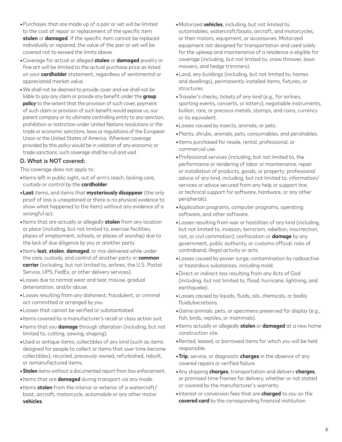- **•**Purchases that are made up of a pair or set will be limited to the cost of repair or replacement of the specific item **stolen** or **damaged**. If the specific item cannot be replaced individually or repaired, the value of the pair or set will be covered not to exceed the limits above.
- **•**Coverage for actual or alleged **stolen** or **damaged** jewelry or fine art will be limited to the actual purchase price as listed on your **cardholder** statement, regardless of sentimental or appreciated market value.
- **•**We shall not be deemed to provide cover and we shall not be liable to pay any claim or provide any benefit under the **group policy** to the extent that the provision of such cover, payment of such claim or provision of such benefit would expose us, our parent company or its ultimate controlling entity to any sanction, prohibition or restriction under United Nations resolutions or the trade or economic sanctions, laws or regulations of the European Union or the United States of America. Wherever coverage provided by this policy would be in violation of any economic or trade sanctions, such coverage shall be null and void.

## D. What is NOT covered:

This coverage does not apply to:

- **•**Items left in public sight, out of arm's reach, lacking care, custody or control by the **cardholder**.
- **•Lost** items, and items that **mysteriously disappear** (the only proof of loss is unexplained or there is no physical evidence to show what happened to the item) without any evidence of a wrongful act.
- **•**Items that are actually or allegedly **stolen** from any location or place (including, but not limited to, exercise facilities, places of employment, schools, or places of worship) due to the lack of due diligence by you or another party.
- **•**Items **lost**, **stolen**, **damaged**, or mis-delivered while under the care, custody, and control of another party or **common carrier** (including, but not limited to, airlines, the U.S. Postal Service, UPS, FedEx, or other delivery services).
- **•**Losses due to normal wear and tear, misuse, gradual deterioration, and/or abuse.
- **•**Losses resulting from any dishonest, fraudulent, or criminal act committed or arranged by you.
- **•**Losses that cannot be verified or substantiated.
- **•**Items covered by a manufacturer's recall or class action suit.
- **•**Items that you **damage** through alteration (including, but not limited to, cutting, sawing, shaping).
- **•**Used or antique items; collectibles of any kind (such as items designed for people to collect or items that over time become collectibles); recycled, previously owned, refurbished, rebuilt, or remanufactured items.
- **•Stolen** items without a documented report from law enforcement.
- **•**Items that are **damaged** during transport via any mode.
- **•**Items **stolen** from the interior or exterior of a watercraft/ boat, aircraft, motorcycle, automobile or any other motor **vehicles**.
- **•**Motorized **vehicles**, including, but not limited to, automobiles, watercraft/boats, aircraft, and motorcycles, or their motors, equipment, or accessories. Motorized equipment not designed for transportation and used solely for the upkeep and maintenance of a residence is eligible for coverage (including, but not limited to, snow thrower, lawn mowers, and hedge trimmers).
- **•**Land, any buildings (including, but not limited to, homes and dwellings), permanently installed items, fixtures, or structures.
- **•**Traveler's checks, tickets of any kind (e.g., for airlines, sporting events, concerts, or lottery), negotiable instruments, bullion, rare, or precious metals, stamps, and coins, currency or its equivalent.
- **•**Losses caused by insects, animals, or pets.
- **•**Plants, shrubs, animals, pets, consumables, and perishables.
- **•**Items purchased for resale, rental, professional, or commercial use.
- **•**Professional services (including, but not limited to, the performance or rendering of labor or maintenance; repair or installation of products, goods, or property; professional advice of any kind, including, but not limited to, information/ services or advice secured from any help or support line; or technical support for software, hardware, or any other peripherals).
- **•**Application programs, computer programs, operating software, and other software.
- **•**Losses resulting from war or hostilities of any kind (including, but not limited to, invasion, terrorism, rebellion, insurrection, riot, or civil commotion); confiscation or **damage** by any government, public authority, or customs official; risks of contraband; illegal activity or acts.
- **•**Losses caused by power surge, contamination by radioactive or hazardous substances, including mold.
- **•**Direct or indirect loss resulting from any Acts of God (including, but not limited to, flood, hurricane, lightning, and earthquake).
- **•**Losses caused by liquids, fluids, oils, chemicals, or bodily fluids/excretions.
- **•**Game animals, pets, or specimens preserved for display (e.g., fish, birds, reptiles, or mammals).
- **•**Items actually or allegedly **stolen** or **damaged** at a new home construction site.
- **•**Rented, leased, or borrowed items for which you will be held responsible.
- **•Trip**, service, or diagnostic **charges** in the absence of any covered repairs or verified failure.
- **•**Any shipping **charges**, transportation and delivery **charges**, or promised time frames for delivery, whether or not stated or covered by the manufacturer's warranty.
- **•**Interest or conversion fees that are **charged** to you on the **covered card** by the corresponding financial institution.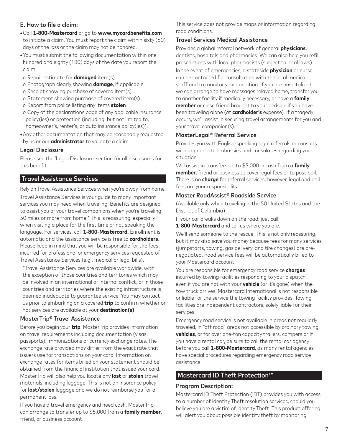## E. How to file a claim:

- **•**Call **1-800-Mastercard** or go to **www.mycardbenefits.com** to initiate a claim. You must report the claim within sixty (60) days of the loss or the claim may not be honored.
- **•**You must submit the following documentation within one hundred and eighty (180) days of the date you report the claim:
- o Repair estimate for **damaged** item(s).
- o Photograph clearly showing **damage**, if applicable.
- o Receipt showing purchase of covered item(s).
- o Statement showing purchase of covered item(s).
- o Report from police listing any items **stolen**.
- o Copy of the declarations page of any applicable insurance policy(ies) or protection (including, but not limited to, homeowner's, renter's, or auto insurance policy(ies)).
- **•**Any other documentation that may be reasonably requested by us or our **administrator** to validate a claim.

#### Legal Disclosure

Please see the 'Legal Disclosure' section for all disclosures for this benefit.

## Travel Assistance Services

Rely on Travel Assistance Services when you're away from home. Travel Assistance Services is your guide to many important services you may need when traveling. Benefits are designed to assist you or your travel companions when you're traveling 50 miles or more from home.\* This is reassuring, especially when visiting a place for the first time or not speaking the language. For services, call **1-800-Mastercard.** Enrollment is automatic and the assistance service is free to **cardholders**. Please keep in mind that you will be responsible for the fees incurred for professional or emergency services requested of Travel Assistance Services (e.g., medical or legal bills).

\*Travel Assistance Services are available worldwide, with the exception of those countries and territories which may be involved in an international or internal conflict, or in those countries and territories where the existing infrastructure is deemed inadequate to guarantee service. You may contact us prior to embarking on a covered **trip** to confirm whether or not services are available at your **destination(s)**.

#### MasterTrip® Travel Assistance

Before you begin your **trip**, MasterTrip provides information on travel requirements including documentation (visas, passports), immunizations or currency exchange rates. The exchange rate provided may differ from the exact rate that issuers use for transactions on your card. Information on exchange rates for items billed on your statement should be obtained from the financial institution that issued your card. MasterTrip will also help you locate any **lost** or **stolen** travel materials, including luggage. This is not an insurance policy for **lost/stolen** luggage and we do not reimburse you for a permanent loss.

If you have a travel emergency and need cash, MasterTrip can arrange to transfer up to \$5,000 from a **family member**, friend, or business account.

This service does not provide maps or information regarding road conditions.

#### Travel Services Medical Assistance

Provides a global referral network of general **physicians**, dentists, hospitals and pharmacies. We can also help you refill prescriptions with local pharmacists (subject to local laws). In the event of emergencies, a stateside **physician** or nurse can be contacted for consultation with the local medical staff and to monitor your condition. If you are hospitalized, we can arrange to have messages relayed home, transfer you to another facility if medically necessary, or have a **family member** or close friend brought to your bedside if you have been traveling alone (at **cardholder's** expense). If a tragedy occurs, we'll assist in securing travel arrangements for you and your travel companion(s).

## MasterLegal® Referral Service

Provides you with English-speaking legal referrals or consults with appropriate embassies and consulates regarding your situation.

Will assist in transfers up to \$5,000 in cash from a **family member**, friend or business to cover legal fees or to post bail. There is no **charge** for referral services; however, legal and bail fees are your responsibility.

#### Master RoadAssist® Roadside Service

(Available only when traveling in the 50 United States and the District of Columbia)

If your car breaks down on the road, just call

**1-800-Mastercard** and tell us where you are.

We'll send someone to the rescue. This is not only reassuring, but it may also save you money because fees for many services (jumpstarts, towing, gas delivery, and tire changes) are prenegotiated. Road service fees will be automatically billed to your Mastercard account.

You are responsible for emergency road service **charges** incurred by towing facilities responding to your dispatch, even if you are not with your **vehicle** (or it's gone) when the tow truck arrives. Mastercard International is not responsible or liable for the service the towing facility provides. Towing facilities are independent contractors, solely liable for their services.

Emergency road service is not available in areas not regularly traveled, in "off road" areas not accessible by ordinary towing **vehicles**, or for over one-ton capacity trailers, campers or If you have a rental car, be sure to call the rental car agency before you call **1-800-Mastercard**, as many rental agencies have special procedures regarding emergency road service assistance.

# Mastercard ID Theft Protection™

#### Program Description:

Mastercard ID Theft Protection (IDT) provides you with access to a number of Identity Theft resolution services, should you believe you are a victim of Identity Theft. This product offering will alert you about possible identity theft by monitoring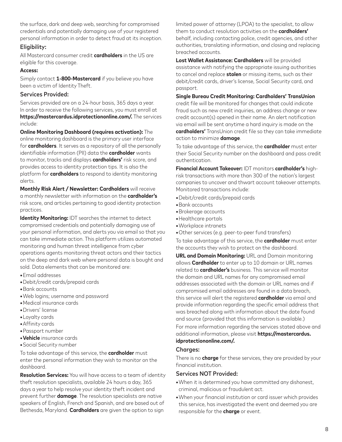the surface, dark and deep web, searching for compromised credentials and potentially damaging use of your registered personal information in order to detect fraud at its inception.

#### Eligibility:

All Mastercard consumer credit **cardholders** in the US are eligible for this coverage.

#### **Access:**

Simply contact **1-800-Mastercard** if you believe you have been a victim of Identity Theft.

## Services Provided:

Services provided are on a 24-hour basis, 365 days a year. In order to receive the following services, you must enroll at **https://mastercardus.idprotectiononline.com/.** The services include:

**Online Monitoring Dashboard (requires activation):** The online monitoring dashboard is the primary user interface for **cardholders**. It serves as a repository of all the personally identifiable information (PII) data the **cardholder** wants to monitor, tracks and displays **cardholders'** risk score, and provides access to identity protection tips. It is also the platform for **cardholders** to respond to identity monitoring alerts.

**Monthly Risk Alert / Newsletter: Cardholders** will receive a monthly newsletter with information on the **cardholder's** risk score, and articles pertaining to good identity protection practices.

**Identity Monitoring:** IDT searches the internet to detect compromised credentials and potentially damaging use of your personal information, and alerts you via email so that you can take immediate action. This platform utilizes automated monitoring and human threat intelligence from cyber operations agents monitoring threat actors and their tactics on the deep and dark web where personal data is bought and sold. Data elements that can be monitored are:

- **•**Email addresses
- **•**Debit/credit cards/prepaid cards
- **•**Bank accounts
- **•**Web logins; username and password
- **•**Medical insurance cards
- **•**Drivers' license
- **•**Loyalty cards
- **•**Affinity cards
- **•**Passport number
- **•Vehicle** insurance cards
- **•**Social Security number

To take advantage of this service, the **cardholder** must enter the personal information they wish to monitor on the dashboard.

**Resolution Services:** You will have access to a team of identity theft resolution specialists, available 24 hours a day, 365 days a year to help resolve your identity theft incident and prevent further **damage**. The resolution specialists are native speakers of English, French and Spanish, and are based out of Bethesda, Maryland. **Cardholders** are given the option to sign

limited power of attorney (LPOA) to the specialist, to allow them to conduct resolution activities on the **cardholders'** behalf, including contacting police, credit agencies, and other authorities, translating information, and closing and replacing breached accounts.

**Lost Wallet Assistance: Cardholders** will be provided assistance with notifying the appropriate issuing authorities to cancel and replace **stolen** or missing items, such as their debit/credit cards, driver's license, Social Security card, and passport.

## **Single Bureau Credit Monitoring: Cardholders' TransUnion**

credit file will be monitored for changes that could indicate fraud such as new credit inquiries, an address change or new credit account(s) opened in their name. An alert notification via email will be sent anytime a hard inquiry is made on the **cardholders'** TransUnion credit file so they can take immediate action to minimize **damage**.

To take advantage of this service, the **cardholder** must enter their Social Security number on the dashboard and pass credit authentication.

**Financial Account Takeover:** IDT monitors **cardholder's** highrisk transactions with more than 300 of the nation's largest companies to uncover and thwart account takeover attempts. Monitored transactions include:

- **•**Debit/credit cards/prepaid cards
- **•**Bank accounts
- **•**Brokerage accounts
- **•**Healthcare portals
- **•**Workplace intranets
- **•**Other services (e.g. peer-to-peer fund transfers)

To take advantage of this service, the **cardholder** must enter the accounts they wish to protect on the dashboard.

**URL and Domain Monitoring:** URL and Domain monitoring allows **Cardholder** to enter up to 10 domain or URL names related to **cardholder's** business. This service will monitor the domain and URL names for any compromised email addresses associated with the domain or URL names and if compromised email addresses are found in a data breach, this service will alert the registered **cardholder** via email and provide information regarding the specific email address that was breached along with information about the date found and source (provided that this information is available.)

For more information regarding the services stated above and additional information, please visit **https://mastercardus.**

# **idprotectiononline.com/.**

# Charges:

There is no **charge** for these services, they are provided by your financial institution.

## Services NOT Provided:

- **•**When it is determined you have committed any dishonest, criminal, malicious or fraudulent act.
- **•**When your financial institution or card issuer which provides this service, has investigated the event and deemed you are responsible for the **charge** or event.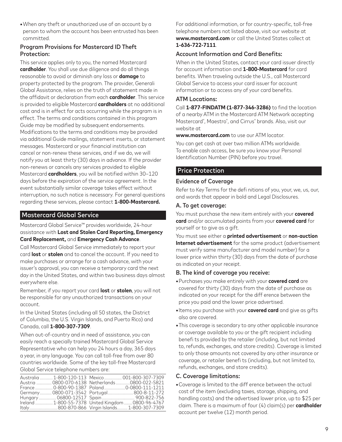**•**When any theft or unauthorized use of an account by a person to whom the account has been entrusted has been committed.

## Program Provisions for Mastercard ID Theft Protection:

This service applies only to you, the named Mastercard **cardholder**. You shall use due diligence and do all things reasonable to avoid or diminish any loss or **damage** to property protected by the program. The provider, Generali Global Assistance, relies on the truth of statement made in the affidavit or declaration from each **cardholder**. This service is provided to eligible Mastercard **cardholders** at no additional cost and is in effect for acts occurring while the program is in effect. The terms and conditions contained in this program Guide may be modified by subsequent endorsements. Modifications to the terms and conditions may be provided via additional Guide mailings, statement inserts, or statement messages. Mastercard or your financial institution can cancel or non-renew these services, and if we do, we will notify you at least thirty (30) days in advance. If the provider non-renews or cancels any services provided to eligible Mastercard **cardholders**, you will be notified within 30–120 days before the expiration of the service agreement. In the event substantially similar coverage takes effect without interruption, no such notice is necessary. For general questions regarding these services, please contact **1-800-Mastercard.**

# Mastercard Global Service

Mastercard Global Service™ provides worldwide, 24-hour assistance with **Lost and Stolen Card Reporting, Emergency Card Replacement,** and **Emergency Cash Advance**.

Call Mastercard Global Service immediately to report your card **lost** or **stolen** and to cancel the account. If you need to make purchases or arrange for a cash advance, with your issuer's approval, you can receive a temporary card the next day in the United States, and within two business days almost everywhere else.

Remember, if you report your card **lost** or **stolen**, you will not be responsible for any unauthorized transactions on your account.

In the United States (including all 50 states, the District of Columbia, the U.S. Virgin Islands, and Puerto Rico) and Canada, call **1-800-307-7309**.

When out-of-country and in need of assistance, you can easily reach a specially trained Mastercard Global Service Representative who can help you 24 hours a day, 365 days a year, in any language. You can call toll-free from over 80 countries worldwide. Some of the key toll-free Mastercard Global Service telephone numbers are:

|  | Australia  1-800-120-113 Mexico  001-800-307-7309   |
|--|-----------------------------------------------------|
|  | Austria  0800-070-6138 Netherlands  0800-022-5821   |
|  | France  0-800-90-1387 Poland 0-0800-111-1211        |
|  | Germany 0800-071-3542 Portugal 800-8-11-272         |
|  | Hungary 06800-12517 Spain 900-822-756               |
|  | Ireland  1-800-55-7378 United Kingdom  0800-96-4767 |
|  | Italy800-870-866 Virgin Islands 1-800-307-7309      |

For additional information, or for country-specific, toll-free telephone numbers not listed above, visit our website at **www.mastercard.com** or call the United States collect at **1-636-722-7111**.

## Account Information and Card Benefits:

When in the United States, contact your card issuer directly for account information and **1-800-Mastercard** for card benefits. When traveling outside the U.S., call Mastercard Global Service to access your card issuer for account information or to access any of your card benefits.

#### ATM Locations:

Call **1-877-FINDATM (1-877-346-3286)** to find the location of a nearby ATM in the Mastercard ATM Network accepting Mastercard® , Maestro® , and Cirrus® brands. Also, visit our website at

**www.mastercard.com** to use our ATM locator.

You can get cash at over two million ATMs worldwide. To enable cash access, be sure you know your Personal Identification Number (PIN) before you travel.

## Price Protection

#### Evidence of Coverage

Refer to Key Terms for the defi nitions of you, your, we, us, our, and words that appear in bold and Legal Disclosures.

#### A. To get coverage:

You must purchase the new item entirely with your **covered card** and/or accumulated points from your **covered card** for yourself or to give as a gift.

You must see either a **printed advertisement** or **non-auction Internet advertisement** for the same product (advertisement must verify same manufacturer and model number) for a lower price within thirty (30) days from the date of purchase as indicated on your receipt.

## B. The kind of coverage you receive:

- **•**Purchases you make entirely with your **covered card** are covered for thirty (30) days from the date of purchase as indicated on your receipt for the diff erence between the price you paid and the lower price advertised.
- **•**Items you purchase with your **covered card** and give as gifts also are covered.
- **•**This coverage is secondary to any other applicable insurance or coverage available to you or the gift recipient including benefi ts provided by the retailer (including, but not limited to, refunds, exchanges, and store credits). Coverage is limited to only those amounts not covered by any other insurance or coverage, or retailer benefi ts (including, but not limited to, refunds, exchanges, and store credits).

#### C. Coverage limitations:

**•**Coverage is limited to the diff erence between the actual cost of the item (excluding taxes, storage, shipping, and handling costs) and the advertised lower price, up to \$25 per claim. There is a maximum of four (4) claim(s) per **cardholder** account per twelve (12) month period.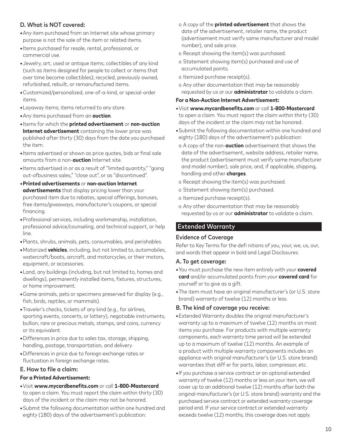# D. What is NOT covered:

- **•**Any item purchased from an Internet site whose primary purpose is not the sale of the item or related items.
- **•**Items purchased for resale, rental, professional, or commercial use.
- **•**Jewelry, art, used or antique items; collectibles of any kind (such as items designed for people to collect or items that over time become collectibles); recycled, previously owned, refurbished, rebuilt, or remanufactured items.
- **•**Customized/personalized, one-of-a-kind, or special-order items.
- **•**Layaway items; items returned to any store.
- **•**Any items purchased from an **auction**.
- **•**Items for which the **printed advertisement** or **non-auction Internet advertisement** containing the lower price was published after thirty (30) days from the date you purchased the item.
- **•**Items advertised or shown as price quotes, bids or final sale amounts from a non-**auction** Internet site.
- **•**Items advertised in or as a result of "limited quantity," "going out-ofbusiness sales," "close out", or as "discontinued".
- **•Printed advertisements** or **non-auction Internet advertisements** that display pricing lower than your purchased item due to rebates, special offerings, bonuses, free items/giveaways, manufacturer's coupons, or special financing.
- **•**Professional services, including workmanship, installation, professional advice/counseling, and technical support, or help line.
- **•**Plants, shrubs, animals, pets, consumables, and perishables.
- **•**Motorized **vehicles**, including, but not limited to, automobiles, watercraft/boats, aircraft, and motorcycles, or their motors, equipment, or accessories.
- **•**Land, any buildings (including, but not limited to, homes and dwellings), permanently installed items, fixtures, structures, or home improvement.
- **•**Game animals, pets or specimens preserved for display (e.g., fish, birds, reptiles, or mammals).
- **•**Traveler's checks, tickets of any kind (e.g., for airlines, sporting events, concerts, or lottery), negotiable instruments, bullion, rare or precious metals, stamps, and coins, currency or its equivalent.
- **•**Differences in price due to sales tax, storage, shipping, handling, postage, transportation, and delivery.
- **•**Differences in price due to foreign exchange rates or fluctuation in foreign exchange rates.

## E. How to file a claim:

#### **For a Printed Advertisement:**

- **•**Visit **www.mycardbenefits.com** or call **1-800-Mastercard** to open a claim. You must report the claim within thirty (30) days of the incident or the claim may not be honored.
- **•**Submit the following documentation within one hundred and eighty (180) days of the advertisement's publication:
- o A copy of the **printed advertisement** that shows the date of the advertisement, retailer name, the product (advertisement must verify same manufacturer and model number), and sale price.
- o Receipt showing the item(s) was purchased.
- o Statement showing item(s) purchased and use of accumulated points.
- o Itemized purchase receipt(s).
- o Any other documentation that may be reasonably requested by us or our **administrator** to validate a claim.

#### **For a Non-Auction Internet Advertisement:**

- **•**Visit **www.mycardbenefits.com** or call **1-800-Mastercard** to open a claim. You must report the claim within thirty (30) days of the incident or the claim may not be honored.
- **•**Submit the following documentation within one hundred and eighty (180) days of the advertisement's publication:
- o A copy of the non-**auction** advertisement that shows the date of the advertisement, website address, retailer name, the product (advertisement must verify same manufacturer and model number), sale price, and, if applicable, shipping, handling and other **charges**.
- o Receipt showing the item(s) was purchased.
- o Statement showing item(s) purchased.
- o Itemized purchase receipt(s).
- o Any other documentation that may be reasonably requested by us or our **administrator** to validate a claim.

# Extended Warranty

## Evidence of Coverage

Refer to Key Terms for the defi nitions of you, your, we, us, our, and words that appear in bold and Legal Disclosures.

#### A. To get coverage:

- **•**You must purchase the new item entirely with your **covered card** and/or accumulated points from your **covered card** for yourself or to give as a gift.
- **•**The item must have an original manufacturer's (or U.S. store brand) warranty of twelve (12) months or less.

- **•**Extended Warranty doubles the original manufacturer's warranty up to a maximum of twelve (12) months on most items you purchase. For products with multiple warranty components, each warranty time period will be extended up to a maximum of twelve (12) months. An example of a product with multiple warranty components includes an appliance with original manufacturer's (or U.S. store brand) warranties that diff er for parts, labor, compressor, etc.
- **•**If you purchase a service contract or an optional extended warranty of twelve (12) months or less on your item, we will cover up to an additional twelve (12) months after both the original manufacturer's (or U.S. store brand) warranty and the purchased service contract or extended warranty coverage period end. If your service contract or extended warranty exceeds twelve (12) months, this coverage does not apply.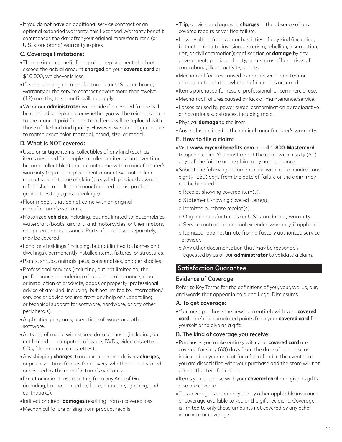**•**If you do not have an additional service contract or an optional extended warranty, this Extended Warranty benefit commences the day after your original manufacturer's (or U.S. store brand) warranty expires.

#### C. Coverage limitations:

- **•**The maximum benefit for repair or replacement shall not exceed the actual amount **charged** on your **covered card** or \$10,000, whichever is less.
- **•**If either the original manufacturer's (or U.S. store brand) warranty or the service contract covers more than twelve (12) months, this benefit will not apply.
- **•**We or our **administrator** will decide if a covered failure will be repaired or replaced, or whether you will be reimbursed up to the amount paid for the item. Items will be replaced with those of like kind and quality. However, we cannot guarantee to match exact color, material, brand, size, or model.

## D. What is NOT covered:

- **•**Used or antique items; collectibles of any kind (such as items designed for people to collect or items that over time become collectibles) that do not come with a manufacturer's warranty (repair or replacement amount will not include market value at time of claim); recycled, previously owned, refurbished, rebuilt, or remanufactured items; product guarantees (e.g., glass breakage).
- **•**Floor models that do not come with an original manufacturer's warranty.
- **•**Motorized **vehicles**, including, but not limited to, automobiles, watercraft/boats, aircraft, and motorcycles, or their motors, equipment, or accessories. Parts, if purchased separately, may be covered.
- **•**Land, any buildings (including, but not limited to, homes and dwellings), permanently installed items, fixtures, or structures.
- **•**Plants, shrubs, animals, pets, consumables, and perishables.
- **•**Professional services (including, but not limited to, the performance or rendering of labor or maintenance; repair or installation of products, goods or property; professional advice of any kind, including, but not limited to, information/ services or advice secured from any help or support line; or technical support for software, hardware, or any other peripherals).
- **•**Application programs, operating software, and other software.
- **•**All types of media with stored data or music (including, but not limited to, computer software, DVDs, video cassettes, CDs, film and audio cassettes).
- **•**Any shipping **charges**, transportation and delivery **charges**, or promised time frames for delivery, whether or not stated or covered by the manufacturer's warranty.
- **•**Direct or indirect loss resulting from any Acts of God (including, but not limited to, flood, hurricane, lightning, and earthquake).
- **•**Indirect or direct **damages** resulting from a covered loss.
- **•**Mechanical failure arising from product recalls.
- **•Trip**, service, or diagnostic **charges** in the absence of any covered repairs or verified failure.
- **•**Loss resulting from war or hostilities of any kind (including, but not limited to, invasion, terrorism, rebellion, insurrection, riot, or civil commotion); confiscation or **damage** by any government, public authority, or customs official; risks of contraband, illegal activity, or acts.
- **•**Mechanical failures caused by normal wear and tear or gradual deterioration where no failure has occurred.
- **•**Items purchased for resale, professional, or commercial use.
- **•**Mechanical failures caused by lack of maintenance/service.
- **•**Losses caused by power surge, contamination by radioactive or hazardous substances, including mold.
- **•**Physical **damage** to the item.
- **•**Any exclusion listed in the original manufacturer's warranty.

#### E. How to file a claim:

- **•**Visit **www.mycardbenefits.com** or call **1-800-Mastercard** to open a claim. You must report the claim within sixty (60) days of the failure or the claim may not be honored.
- **•**Submit the following documentation within one hundred and eighty (180) days from the date of failure or the claim may not be honored:
- o Receipt showing covered item(s).
- o Statement showing covered item(s).
- o Itemized purchase receipt(s).
- o Original manufacturer's (or U.S. store brand) warranty.
- o Service contract or optional extended warranty, if applicable.
- o Itemized repair estimate from a factory authorized service provider.
- o Any other documentation that may be reasonably requested by us or our **administrator** to validate a claim.

## Satisfaction Guarantee

#### Evidence of Coverage

Refer to Key Terms for the definitions of you, your, we, us, our, and words that appear in bold and Legal Disclosures.

#### A. To get coverage:

**•**You must purchase the new item entirely with your **covered card** and/or accumulated points from your **covered card** for yourself or to give as a gift.

- **•**Purchases you make entirely with your **covered card** are covered for sixty (60) days from the date of purchase as indicated on your receipt for a full refund in the event that you are dissatisfied with your purchase and the store will not accept the item for return.
- **•**Items you purchase with your **covered card** and give as gifts also are covered.
- **•**This coverage is secondary to any other applicable insurance or coverage available to you or the gift recipient. Coverage is limited to only those amounts not covered by any other insurance or coverage.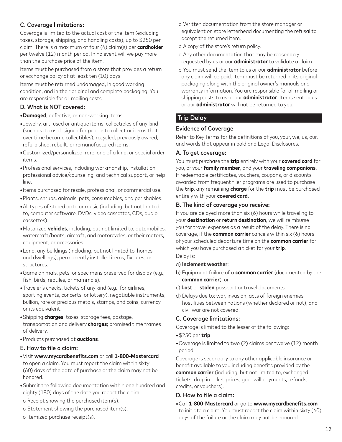# C. Coverage limitations:

Coverage is limited to the actual cost of the item (excluding taxes, storage, shipping, and handling costs), up to \$250 per claim. There is a maximum of four (4) claim(s) per **cardholder** per twelve (12) month period. In no event will we pay more than the purchase price of the item.

Items must be purchased from a store that provides a return or exchange policy of at least ten (10) days.

Items must be returned undamaged, in good working condition, and in their original and complete packaging. You are responsible for all mailing costs.

# D. What is NOT covered:

**•Damaged**, defective, or non-working items.

- **•**Jewelry, art, used or antique items; collectibles of any kind (such as items designed for people to collect or items that over time become collectibles); recycled, previously owned, refurbished, rebuilt, or remanufactured items.
- **•**Customized/personalized, rare, one of a kind, or special order items.
- **•**Professional services, including workmanship, installation, professional advice/counseling, and technical support, or help line.
- **•**Items purchased for resale, professional, or commercial use.
- **•**Plants, shrubs, animals, pets, consumables, and perishables.
- **•**All types of stored data or music (including, but not limited to, computer software, DVDs, video cassettes, CDs, audio cassettes).
- **•**Motorized **vehicles**, including, but not limited to, automobiles, watercraft/boats, aircraft, and motorcycles, or their motors, equipment, or accessories.
- **•**Land, any buildings (including, but not limited to, homes and dwellings), permanently installed items, fixtures, or structures.
- **•**Game animals, pets, or specimens preserved for display (e.g., fish, birds, reptiles, or mammals).
- **•**Traveler's checks, tickets of any kind (e.g., for airlines, sporting events, concerts, or lottery), negotiable instruments, bullion, rare or precious metals, stamps, and coins, currency or its equivalent.
- **•**Shipping **charges**, taxes, storage fees, postage, transportation and delivery **charges**; promised time frames of delivery.
- **•**Products purchased at **auctions**.

## E. How to file a claim:

- **•**Visit **www.mycardbenefits.com** or call **1-800-Mastercard** to open a claim. You must report the claim within sixty (60) days of the date of purchase or the claim may not be honored.
- **•**Submit the following documentation within one hundred and eighty (180) days of the date you report the claim:
- o Receipt showing the purchased item(s).
- o Statement showing the purchased item(s).
- o Itemized purchase receipt(s).
- o Written documentation from the store manager or equivalent on store letterhead documenting the refusal to accept the returned item.
- o A copy of the store's return policy.
- o Any other documentation that may be reasonably requested by us or our **administrator** to validate a claim.
- o You must send the item to us or our **administrator** before any claim will be paid. Item must be returned in its original packaging along with the original owner's manuals and warranty information. You are responsible for all mailing or shipping costs to us or our **administrator**. Items sent to us or our **administrator** will not be returned to you.

# Trip Delay

## Evidence of Coverage

Refer to Key Terms for the definitions of you, your, we, us, our, and words that appear in bold and Legal Disclosures.

## A. To get coverage:

You must purchase the **trip** entirely with your **covered card** for you, or your **family member**, and your **traveling companions**. If redeemable certificates, vouchers, coupons, or discounts awarded from frequent flier programs are used to purchase the **trip**, any remaining **charge** for the **trip** must be purchased entirely with your **covered card**.

#### B. The kind of coverage you receive:

If you are delayed more than six (6) hours while traveling to your **destination** or **return destination**, we will reimburse you for travel expenses as a result of the delay. There is no coverage, if the **common carrier** cancels within six (6) hours of your scheduled departure time on the **common carrier** for which you have purchased a ticket for your **trip**.

- Delay is:
- a) **Inclement weather**;
- b) Equipment failure of a **common carrier** (documented by the **common carrier**); or
- c) **Lost** or **stolen** passport or travel documents.
- d) Delays due to: war, invasion, acts of foreign enemies, hostilities between nations (whether declared or not), and civil war are not covered.

## C. Coverage limitations:

Coverage is limited to the lesser of the following:

- **•**\$250 per **trip**.
- **•**Coverage is limited to two (2) claims per twelve (12) month period.

Coverage is secondary to any other applicable insurance or benefit available to you including benefits provided by the **common carrier** (including, but not limited to, exchanged tickets, drop in ticket prices, goodwill payments, refunds, credits, or vouchers).

#### D. How to file a claim:

**•**Call **1-800-Mastercard** or go to **www.mycardbenefits.com** to initiate a claim. You must report the claim within sixty (60) days of the failure or the claim may not be honored.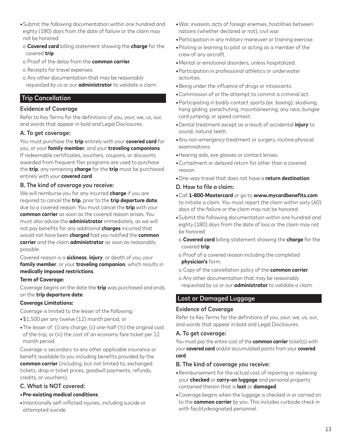- **•**Submit the following documentation within one hundred and eighty (180) days from the date of failure or the claim may not be honored:
- o **Covered card** billing statement showing the **charge** for the covered **trip**.
- o Proof of the delay from the **common carrier**.
- o Receipts for travel expenses.
- o Any other documentation that may be reasonably requested by us or our **administrator** to validate a claim.

# Trip Cancellation

## Evidence of Coverage

Refer to Key Terms for the definitions of you, your, we, us, our, and words that appear in bold and Legal Disclosures.

## A. To get coverage:

You must purchase the **trip** entirely with your **covered card** for you, or your **family member**, and your **traveling companions**. If redeemable certificates, vouchers, coupons, or discounts awarded from frequent flier programs are used to purchase the **trip**, any remaining **charge** for the **trip** must be purchased entirely with your **covered card**.

## B. The kind of coverage you receive:

We will reimburse you for any incurred **charge** if you are required to cancel the **trip**, prior to the **trip departure date**, due to a covered reason. You must cancel the **trip** with your **common carrier** as soon as the covered reason arises. You must also advise the **administrator** immediately, as we will not pay benefits for any additional **charges** incurred that would not have been **charged** had you notified the **common carrier** and the claim **administrator** as soon as reasonably possible.

Covered reason is a **sickness**, **injury**, or death of you, your **family member**, or your **traveling companion**, which results in **medically imposed restrictions**.

## **Term of Coverage:**

Coverage begins on the date the **trip** was purchased and ends on the **trip departure date**.

## **Coverage Limitations:**

Coverage is limited to the lesser of the following:

- **•**\$1,500 per any twelve (12) month period; or
- **•**The lesser of: (i) any charge; (ii) one-half (½) the original cost of the trip; or (iii) the cost of an economy fare ticket per 12 month period.

Coverage is secondary to any other applicable insurance or benefit available to you including benefits provided by the **common carrier** (including, but not limited to, exchanged tickets, drop in ticket prices, goodwill payments, refunds, credits, or vouchers).

# C. What is NOT covered:

## **•Pre-existing medical conditions**.

**•**Intentionally self-inflicted injuries, including suicide or attempted suicide.

- **•**War, invasion, acts of foreign enemies, hostilities between nations (whether declared or not), civil war.
- **•**Participation in any military maneuver or training exercise.
- **•**Piloting or learning to pilot or acting as a member of the crew of any aircraft.
- **•**Mental or emotional disorders, unless hospitalized.
- **•**Participation in professional athletics or underwater activities.
- **•**Being under the influence of drugs or intoxicants.
- **•**Commission of or the attempt to commit a criminal act.
- **•**Participating in bodily contact sports (ex. boxing); skydiving; hang gliding; parachuting; mountaineering; any race; bungee cord jumping; or speed contest.
- **•**Dental treatment except as a result of accidental **injury** to sound, natural teeth.
- **•**Any non-emergency treatment or surgery, routine physical examinations.
- **•**Hearing aids, eye glasses or contact lenses.
- **•**Curtailment or delayed return for other than a covered reason.
- **•**One-way travel that does not have a **return destination**.

## D. How to file a claim:

- **•**Call **1-800-Mastercard** or go to **www.mycardbenefits.com** to initiate a claim. You must report the claim within sixty (60) days of the failure or the claim may not be honored.
- **•**Submit the following documentation within one hundred and eighty (180) days from the date of loss or the claim may not be honored:
- o **Covered card** billing statement showing the **charge** for the covered **trip**.
- o Proof of a covered reason including the completed **physician's** form.
- o Copy of the cancellation policy of the **common carrier**.
- o Any other documentation that may be reasonably requested by us or our **administrator** to validate a claim.

# Lost or Damaged Luggage

## Evidence of Coverage

Refer to Key Terms for the definitions of you, your, we, us, our, and words that appear in bold and Legal Disclosures.

## A. To get coverage:

You must pay the entire cost of the **common carrier** ticket(s) with your **covered card** and/or accumulated points from your **covered card**.

- **•**Reimbursement for the actual cost of repairing or replacing your **checked** or **carry-on luggage** and personal property contained therein that is **lost** or **damaged**.
- **•**Coverage begins when the luggage is checked in or carried on to the **common carrier** by you. This includes curbside check in with facilitydesignated personnel.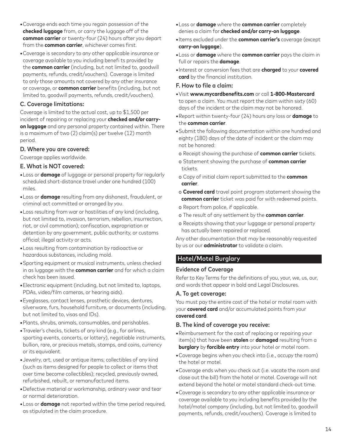- **•**Coverage ends each time you regain possession of the **checked luggage** from, or carry the luggage off of the **common carrier** or twenty-four (24) hours after you depart from the **common carrier**, whichever comes first.
- **•**Coverage is secondary to any other applicable insurance or coverage available to you including benefi ts provided by the **common carrier** (including, but not limited to, goodwill payments, refunds, credit/vouchers). Coverage is limited to only those amounts not covered by any other insurance or coverage, or **common carrier** benefits (including, but not limited to, goodwill payments, refunds, credit/vouchers).

# C. Coverage limitations:

Coverage is limited to the actual cost, up to \$1,500 per incident of repairing or replacing your **checked and/or carryon luggage** and any personal property contained within. There is a maximum of two (2) claim(s) per twelve (12) month period.

## D. Where you are covered:

Coverage applies worldwide.

## E. What is NOT covered:

- **•**Loss or **damage** of luggage or personal property for regularly scheduled short-distance travel under one hundred (100) miles.
- **•**Loss or **damage** resulting from any dishonest, fraudulent, or criminal act committed or arranged by you.
- **•**Loss resulting from war or hostilities of any kind (including, but not limited to, invasion, terrorism, rebellion, insurrection, riot, or civil commotion); confiscation, expropriation or detention by any government, public authority, or customs official; illegal activity or acts.
- **•**Loss resulting from contamination by radioactive or hazardous substances, including mold.
- **•**Sporting equipment or musical instruments, unless checked in as luggage with the **common carrier** and for which a claim check has been issued.
- **•**Electronic equipment (including, but not limited to, laptops, PDAs, video/film cameras, or hearing aids).
- **•**Eyeglasses, contact lenses, prosthetic devices, dentures, silverware, furs, household furniture, or documents (including, but not limited to, visas and IDs).
- **•**Plants, shrubs, animals, consumables, and perishables.
- **•**Traveler's checks, tickets of any kind (e.g., for airlines, sporting events, concerts, or lottery), negotiable instruments, bullion, rare, or precious metals, stamps, and coins, currency or its equivalent.
- **•**Jewelry, art, used or antique items; collectibles of any kind (such as items designed for people to collect or items that over time become collectibles); recycled, previously owned, refurbished, rebuilt, or remanufactured items.
- **•**Defective material or workmanship, ordinary wear and tear or normal deterioration.
- **•**Loss or **damage** not reported within the time period required, as stipulated in the claim procedure.
- **•**Loss or **damage** where the **common carrier** completely denies a claim for **checked and/or carry-on luggage**.
- **•**Items excluded under the **common carrier's** coverage (except **carry-on luggage**).
- **•**Loss or **damage** where the **common carrier** pays the claim in full or repairs the **damage**.
- **•**Interest or conversion fees that are **charged** to your **covered card** by the financial institution.

#### F. How to file a claim:

- **•**Visit **www.mycardbenefits.com** or call **1-800-Mastercard** to open a claim. You must report the claim within sixty (60) days of the incident or the claim may not be honored.
- **•**Report within twenty-four (24) hours any loss or **damage** to the **common carrier**.
- **•**Submit the following documentation within one hundred and eighty (180) days of the date of incident or the claim may not be honored:
	- o Receipt showing the purchase of **common carrier** tickets.
- o Statement showing the purchase of **common carrier** tickets.
- o Copy of initial claim report submitted to the **common carrier**.
- o **Covered card** travel point program statement showing the **common carrier** ticket was paid for with redeemed points.
- o Report from police, if applicable.
- o The result of any settlement by the **common carrier**.
- o Receipts showing that your luggage or personal property has actually been repaired or replaced.

Any other documentation that may be reasonably requested by us or our **administrator** to validate a claim.

# Hotel/Motel Burglary

## Evidence of Coverage

Refer to Key Terms for the definitions of you, your, we, us, our, and words that appear in bold and Legal Disclosures.

#### A. To get coverage:

You must pay the entire cost of the hotel or motel room with your **covered card** and/or accumulated points from your **covered card**.

- **•**Reimbursement for the cost of replacing or repairing your item(s) that have been **stolen** or **damaged** resulting from a **burglary** by **forcible entry** into your hotel or motel room.
- **•**Coverage begins when you check into (i.e., occupy the room) the hotel or motel.
- **•**Coverage ends when you check out (i.e. vacate the room and close out the bill) from the hotel or motel. Coverage will not extend beyond the hotel or motel standard check-out time.
- **•**Coverage is secondary to any other applicable insurance or coverage available to you including benefits provided by the hotel/motel company (including, but not limited to, goodwill payments, refunds, credit/vouchers). Coverage is limited to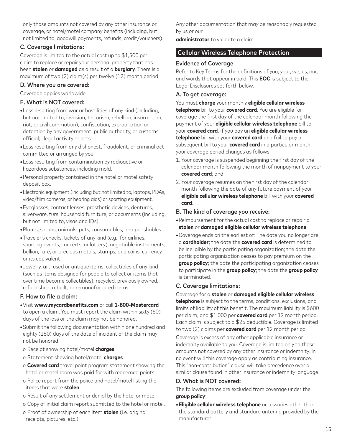only those amounts not covered by any other insurance or coverage, or hotel/motel company benefits (including, but not limited to, goodwill payments, refunds, credit/vouchers).

## C. Coverage limitations:

Coverage is limited to the actual cost up to \$1,500 per claim to replace or repair your personal property that has been **stolen** or **damaged** as a result of a **burglary**. There is a maximum of two (2) claim(s) per twelve (12) month period.

## D. Where you are covered:

Coverage applies worldwide.

# E. What is NOT covered:

- **•**Loss resulting from war or hostilities of any kind (including, but not limited to, invasion, terrorism, rebellion, insurrection, riot, or civil commotion); confiscation, expropriation or detention by any government, public authority, or customs official; illegal activity or acts.
- **•**Loss resulting from any dishonest, fraudulent, or criminal act committed or arranged by you.
- **•**Loss resulting from contamination by radioactive or hazardous substances, including mold.
- **•**Personal property contained in the hotel or motel safety deposit box.
- **•**Electronic equipment (including but not limited to, laptops, PDAs, video/film cameras, or hearing aids) or sporting equipment.
- **•**Eyeglasses, contact lenses, prosthetic devices, dentures, silverware, furs, household furniture, or documents (including, but not limited to, visas and IDs).
- **•**Plants, shrubs, animals, pets, consumables, and perishables.
- **•**Traveler's checks, tickets of any kind (e.g., for airlines, sporting events, concerts, or lottery), negotiable instruments, bullion, rare, or precious metals, stamps, and coins, currency or its equivalent.
- **•**Jewelry, art, used or antique items; collectibles of any kind (such as items designed for people to collect or items that over time become collectibles); recycled, previously owned, refurbished, rebuilt, or remanufactured items.

## F. How to file a claim:

- **•**Visit **www.mycardbenefits.com** or call **1-800-Mastercard** to open a claim. You must report the claim within sixty (60) days of the loss or the claim may not be honored.
- **•**Submit the following documentation within one hundred and eighty (180) days of the date of incident or the claim may not be honored:
- o Receipt showing hotel/motel **charges**.
- o Statement showing hotel/motel **charges**.
- o **Covered card** travel point program statement showing the hotel or motel room was paid for with redeemed points.
- o Police report from the police and hotel/motel listing the items that were **stolen**.
- o Result of any settlement or denial by the hotel or motel.
- o Copy of initial claim report submitted to the hotel or motel. o Proof of ownership of each item **stolen** (i.e. original receipts, pictures, etc.).

Any other documentation that may be reasonably requested by us or our

**administrator** to validate a claim.

# Cellular Wireless Telephone Protection

# Evidence of Coverage

Refer to Key Terms for the definitions of you, your, we, us, our, and words that appear in bold. This **EOC** is subject to the Legal Disclosures set forth below.

## A. To get coverage:

You must **charge** your monthly **eligible cellular wireless telephone** bill to your **covered card**. You are eligible for coverage the first day of the calendar month following the payment of your **eligible cellular wireless telephone** bill to your **covered card**. If you pay an **eligible cellular wireless telephone** bill with your **covered card** and fail to pay a subsequent bill to your **covered card** in a particular month, your coverage period changes as follows:

- 1. Your coverage is suspended beginning the first day of the calendar month following the month of nonpayment to your **covered card**; and
- 2. Your coverage resumes on the first day of the calendar month following the date of any future payment of your **eligible cellular wireless telephone** bill with your **covered card**.

## B. The kind of coverage you receive:

- **•**Reimbursement for the actual cost to replace or repair a **stolen** or **damaged eligible cellular wireless telephone**.
- **•**Coverage ends on the earliest of: The date you no longer are a **cardholder**; the date the **covered card** is determined to be ineligible by the participating organization; the date the participating organization ceases to pay premium on the **group policy**; the date the participating organization ceases to participate in the **group policy**; the date the **group policy** is terminated.

## C. Coverage limitations:

Coverage for a **stolen** or **damaged eligible cellular wireless telephone** is subject to the terms, conditions, exclusions, and limits of liability of this benefit. The maximum liability is \$600 per claim, and \$1,000 per **covered card** per 12 month period. Each claim is subject to a \$25 deductible. Coverage is limited to two (2) claims per **covered card** per 12 month period.

Coverage is excess of any other applicable insurance or indemnity available to you. Coverage is limited only to those amounts not covered by any other insurance or indemnity. In no event will this coverage apply as contributing insurance. This "non-contribution" clause will take precedence over a similar clause found in other insurance or indemnity language.

# D. What is NOT covered:

The following items are excluded from coverage under the **group policy**:

**•Eligible cellular wireless telephone** accessories other than the standard battery and standard antenna provided by the manufacturer;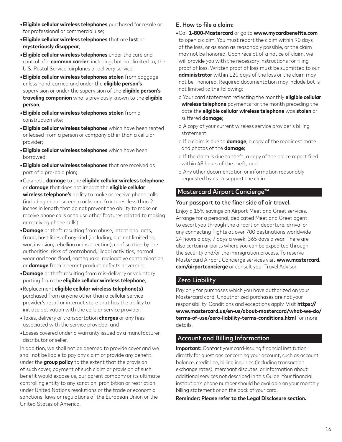- **•Eligible cellular wireless telephones** purchased for resale or for professional or commercial use;
- **•Eligible cellular wireless telephones** that are **lost** or **mysteriously disappear**;
- **•Eligible cellular wireless telephones** under the care and control of a **common carrier**, including, but not limited to, the U.S. Postal Service, airplanes or delivery service;
- **•Eligible cellular wireless telephones stolen** from baggage unless hand-carried and under the **eligible person's** supervision or under the supervision of the **eligible person's traveling companion** who is previously known to the **eligible person**;
- **•Eligible cellular wireless telephones stolen** from a construction site;
- **•Eligible cellular wireless telephones** which have been rented or leased from a person or company other than a cellular provider;
- **•Eligible cellular wireless telephones** which have been borrowed;
- **•Eligible cellular wireless telephones** that are received as part of a pre-paid plan;
- **•**Cosmetic **damage** to the **eligible cellular wireless telephone** or **damage** that does not impact the **eligible cellular wireless telephone's** ability to make or receive phone calls (including minor screen cracks and fractures less than 2 inches in length that do not prevent the ability to make or receive phone calls or to use other features related to making or receiving phone calls);
- **•Damage** or theft resulting from abuse, intentional acts, fraud, hostilities of any kind (including, but not limited to, war, invasion, rebellion or insurrection), confiscation by the authorities, risks of contraband, illegal activities, normal wear and tear, flood, earthquake, radioactive contamination, or **damage** from inherent product defects or vermin;
- **•Damage** or theft resulting from mis-delivery or voluntary parting from the **eligible cellular wireless telephone**;
- **•**Replacement **eligible cellular wireless telephone(s)** purchased from anyone other than a cellular service provider's retail or internet store that has the ability to initiate activation with the cellular service provider;
- **•**Taxes, delivery or transportation **charges** or any fees associated with the service provided; and
- **•**Losses covered under a warranty issued by a manufacturer, distributor or seller.

In addition, we shall not be deemed to provide cover and we shall not be liable to pay any claim or provide any benefit under the **group policy** to the extent that the provision of such cover, payment of such claim or provision of such benefit would expose us, our parent company or its ultimate controlling entity to any sanction, prohibition or restriction under United Nations resolutions or the trade or economic sanctions, laws or regulations of the European Union or the United States of America.

# E. How to file a claim:

- **•**Call **1-800-Mastercard** or go to **www.mycardbenefits.com** to open a claim. You must report the claim within 90 days of the loss, or as soon as reasonably possible, or the claim may not be honored. Upon receipt of a notice of claim, we will provide you with the necessary instructions for filing proof of loss. Written proof of loss must be submitted to our **administrator** within 120 days of the loss or the claim may not be honored. Required documentation may include but is not limited to the following:
- o Your card statement reflecting the monthly **eligible cellular wireless telephone** payments for the month preceding the date the **eligible cellular wireless telephone** was **stolen** or suffered **damage**;
- o A copy of your current wireless service provider's billing statement;
- o If a claim is due to **damage**, a copy of the repair estimate and photos of the **damage**;
- o If the claim is due to theft, a copy of the police report filed within 48 hours of the theft; and
- o Any other documentation or information reasonably requested by us to support the claim.

# Mastercard Airport Concierge™

## Your passport to the finer side of air travel.

Enjoy a 15% savings on Airport Meet and Greet services. Arrange for a personal, dedicated Meet and Greet agent to escort you through the airport on departure, arrival or any connecting flights at over 700 destinations worldwide 24 hours a day, 7 days a week, 365 days a year. There are also certain airports where you can be expedited through the security and/or the immigration process. To reserve Mastercard Airport Concierge services visit **www.mastercard. com/airportconcierge** or consult your Travel Advisor.

# Zero Liability

Pay only for purchases which you have authorized on your Mastercard card. Unauthorized purchases are not your responsibility. Conditions and exceptions apply. Visit **https:// www.mastercard.us/en-us/about-mastercard/what-we-do/ terms-of-use/zero-liability-terms-conditions.html** for more details.

# Account and Billing Information

**Important:** Contact your card-issuing financial institution directly for questions concerning your account, such as account balance, credit line, billing inquiries (including transaction exchange rates), merchant disputes, or information about additional services not described in this Guide. Your financial institution's phone number should be available on your monthly billing statement or on the back of your card.

**Reminder: Please refer to the Legal Disclosure section.**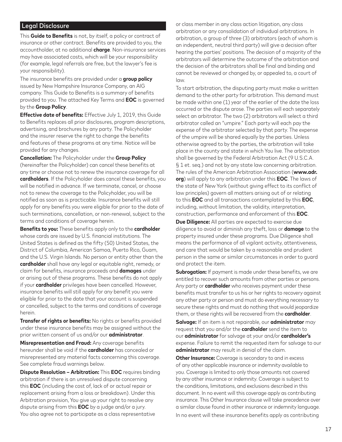## Legal Disclosure

This **Guide to Benefits** is not, by itself, a policy or contract of insurance or other contract. Benefits are provided to you, the accountholder, at no additional **charge**. Non-insurance services may have associated costs, which will be your responsibility (for example, legal referrals are free, but the lawyer's fee is your responsibility).

The insurance benefits are provided under a **group policy** issued by New Hampshire Insurance Company, an AIG company. This Guide to Benefits is a summary of benefits provided to you. The attached Key Terms and **EOC** is governed by the **Group Policy**.

**Effective date of benefits:** Effective July 1, 2019, this Guide to Benefits replaces all prior disclosures, program descriptions, advertising, and brochures by any party. The Policyholder and the insurer reserve the right to change the benefits and features of these programs at any time. Notice will be provided for any changes.

**Cancellation:** The Policyholder under the **Group Policy** (hereinafter the Policyholder) can cancel these benefits at any time or choose not to renew the insurance coverage for all **cardholders**. If the Policyholder does cancel these benefits, you will be notified in advance. If we terminate, cancel, or choose not to renew the coverage to the Policyholder, you will be notified as soon as is practicable. Insurance benefits will still apply for any benefits you were eligible for prior to the date of such terminations, cancellation, or non-renewal, subject to the terms and conditions of coverage herein.

**Benefits to you:** These benefits apply only to the **cardholder** whose cards are issued by U.S. financial institutions. The United States is defined as the fifty (50) United States, the District of Columbia, American Samoa, Puerto Rico, Guam, and the U.S. Virgin Islands. No person or entity other than the **cardholder** shall have any legal or equitable right, remedy, or claim for benefits, insurance proceeds and **damages** under or arising out of these programs. These benefits do not apply if your **cardholder** privileges have been cancelled. However, insurance benefits will still apply for any benefit you were eligible for prior to the date that your account is suspended or cancelled, subject to the terms and conditions of coverage herein.

**Transfer of rights or benefits:** No rights or benefits provided under these insurance benefits may be assigned without the prior written consent of us and/or our **administrator**.

**Misrepresentation and Fraud:** Any coverage benefits hereunder shall be void if the **cardholder** has concealed or misrepresented any material facts concerning this coverage. See complete fraud warnings below.

**Dispute Resolution – Arbitration:** This **EOC** requires binding arbitration if there is an unresolved dispute concerning this **EOC** (including the cost of, lack of or actual repair or replacement arising from a loss or breakdown). Under this Arbitration provision, You give up your right to resolve any dispute arising from this **EOC** by a judge and/or a jury. You also agree not to participate as a class representative

or class member in any class action litigation, any class arbitration or any consolidation of individual arbitrations. In arbitration, a group of three (3) arbitrators (each of whom is an independent, neutral third party) will give a decision after hearing the parties' positions. The decision of a majority of the arbitrators will determine the outcome of the arbitration and the decision of the arbitrators shall be final and binding and cannot be reviewed or changed by, or appealed to, a court of law.

To start arbitration, the disputing party must make a written demand to the other party for arbitration. This demand must be made within one (1) year of the earlier of the date the loss occurred or the dispute arose. The parties will each separately select an arbitrator. The two (2) arbitrators will select a third arbitrator called an "umpire." Each party will each pay the expense of the arbitrator selected by that party. The expense of the umpire will be shared equally by the parties. Unless otherwise agreed to by the parties, the arbitration will take place in the county and state in which You live. The arbitration shall be governed by the Federal Arbitration Act (9 U.S.C.A. § 1 et. seq.) and not by any state law concerning arbitration. The rules of the American Arbitration Association (**www.adr. org**) will apply to any arbitration under this **EOC**. The laws of the state of New York (without giving effect to its conflict of law principles) govern all matters arising out of or relating to this **EOC** and all transactions contemplated by this **EOC**, including, without limitation, the validity, interpretation, construction, performance and enforcement of this **EOC**.

**Due Diligence:** All parties are expected to exercise due diligence to avoid or diminish any theft, loss or **damage** to the property insured under these programs. Due Diligence shall means the performance of all vigilant activity, attentiveness, and care that would be taken by a reasonable and prudent person in the same or similar circumstances in order to guard and protect the item.

**Subrogation:** If payment is made under these benefits, we are entitled to recover such amounts from other parties or persons. Any party or **cardholder** who receives payment under these benefits must transfer to us his or her rights to recovery against any other party or person and must do everything necessary to secure these rights and must do nothing that would jeopardize them, or these rights will be recovered from the **cardholder**.

**Salvage:** If an item is not repairable, our **administrator** may request that you and/or the **cardholder** send the item to our **administrator** for salvage at your and/or **cardholder's** expense. Failure to remit the requested item for salvage to our **administrator** may result in denial of the claim.

**Other Insurance:** Coverage is secondary to and in excess of any other applicable insurance or indemnity available to you. Coverage is limited to only those amounts not covered by any other insurance or indemnity. Coverage is subject to the conditions, limitations, and exclusions described in this document. In no event will this coverage apply as contributing insurance. This Other Insurance clause will take precedence over a similar clause found in other insurance or indemnity language. In no event will these insurance benefits apply as contributing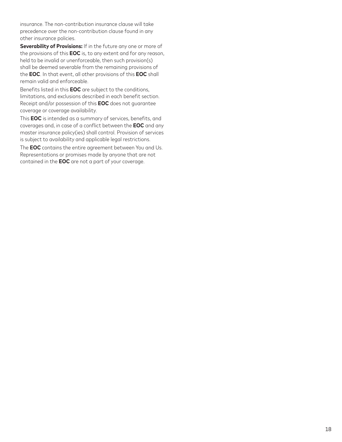insurance. The non-contribution insurance clause will take precedence over the non-contribution clause found in any other insurance policies.

**Severability of Provisions:** If in the future any one or more of the provisions of this **EOC** is, to any extent and for any reason, held to be invalid or unenforceable, then such provision(s) shall be deemed severable from the remaining provisions of the **EOC**. In that event, all other provisions of this **EOC** shall remain valid and enforceable.

Benefits listed in this **EOC** are subject to the conditions, limitations, and exclusions described in each benefit section. Receipt and/or possession of this **EOC** does not guarantee coverage or coverage availability.

This **EOC** is intended as a summary of services, benefits, and coverages and, in case of a conflict between the **EOC** and any master insurance policy(ies) shall control. Provision of services is subject to availability and applicable legal restrictions.

The **EOC** contains the entire agreement between You and Us. Representations or promises made by anyone that are not contained in the **EOC** are not a part of your coverage.